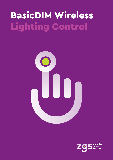# BasicDIM Wireless Lighting Control



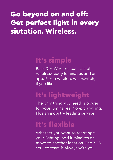# Go beyond on and off: Get perfect light in every siutation. Wireless.

# It's simple

BasicDIM Wireless consists of wireless-ready luminaires and an app. Plus a wireless wall-switch, if you like.

# It's lightweight

The only thing you need is power for your luminaires. No extra wiring. Plus an industry leading service.

# It's flexible

Whether you want to rearrange your lighting, add luminaires or move to another location. The ZGS service team is always with you.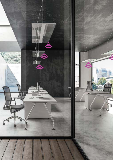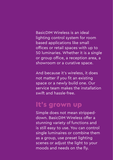BasicDIM Wireless is an ideal lighting control system for room based applications like small offices or retail spaces with up to 50 luminaries. Whether it is a single or group office, a reception area, a showroom or a curative space.

And because it's wireless, it does not matter if you fit an existing space or a newly build one. Our service team makes the installation swift and hassle-free.

## It's grown up

Simple does not mean strippeddown. BasicDIM Wireless offer a stunning variety of functions and is still easy to use. You can control single luminaires or combine them as a group, use preset lighting scenes or adjust the light to your moods and needs on the fly.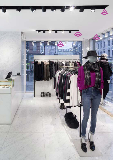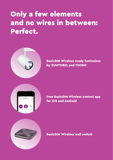# Only a few elements and no wires in between: Perfect.



### BasicDIM Wireless ready luminaires by ZUMTOBEL and THORN



Free BasicDIM Wireless control app for iOS and Android



BasicDIM Wireless wall switch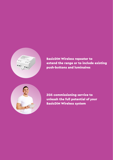

BasicDIM Wireless repeater to extend the range or to include existing push-buttons and luminaires



ZGS commissioning service to unleash the full potential of your BasicDIM Wireless system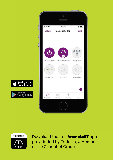





Download the free 4remoteBT app provideded by Tridonic, a Member of the Zumtobel Group.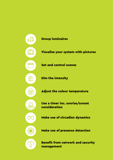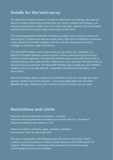## Details for the tech-savvy

The BasicDIM Wireless solution is based on Bluetooth Low Energy, the state-ofthe-art wireless technology and the only low power wireless technology in all modern smartphones, tablets and even smart watches, making it the mainstream and future proof low power radio technology in the world.

The technology behind BasicDIM Wireless provides a mesh network where the functionality is distributed over all nodes, and a high level of reliability is ensured. It also allows for firmware updates over the network, allowing any kind of changes to easily be made over-the-air.

The BasicDIM Wireless control app works as one of the user interfaces in a BasicDIM Wireless lighting control solution, as the commissioning tool and as well as a remote gateway. The BasicDIM Wireless app works with iOS as well as Android devices, like smart phones, tablets and smart watches. The app is free to download by any end user. The BasicDIM Wireless app is made by user interface experts and in a way, that anyone - regardless of technical proficiency - can use it easily.

BasicDIM Wireless offers a variety of possibilities to interact. The app for smart phones, tablets and smart watches. is the most elaborated user interface. Besides the app, traditional wall switches and push buttons can be used.

## Restrictions and Limits

Maximum spacing between luminaires = 4 meters Maximum spacing between luminaires and mobile devices = 15 meters Maximum nodes on one network = 127

What is a node? Luminaires, apps, switches, repeaters and sensors count as one node each.

The App is compatible with following devices; iPhone 4S or later, iPad 3 or later as well as Android 4.4 KitKat or later devices with full Bluetooth 4.0 support. Please bear in mind that metal ceilings and concrete casting surroundings are currently excluded.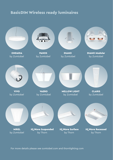## BasicDIM Wireless ready luminaires



For more details please see zumtobel.com and thornlighting.com